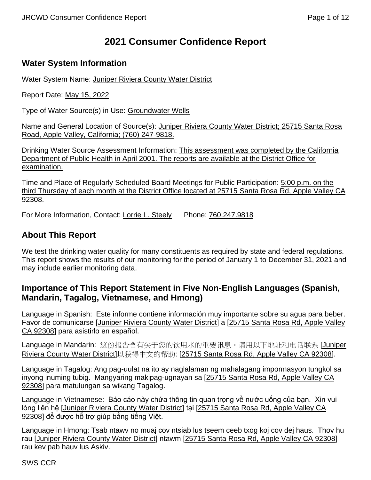# **2021 Consumer Confidence Report**

# **Water System Information**

Water System Name: Juniper Riviera County Water District

Report Date: May 15, 2022

Type of Water Source(s) in Use: Groundwater Wells

Name and General Location of Source(s): Juniper Riviera County Water District; 25715 Santa Rosa Road, Apple Valley, California; (760) 247-9818.

Drinking Water Source Assessment Information: This assessment was completed by the California Department of Public Health in April 2001. The reports are available at the District Office for examination.

Time and Place of Regularly Scheduled Board Meetings for Public Participation: 5:00 p.m. on the third Thursday of each month at the District Office located at 25715 Santa Rosa Rd, Apple Valley CA 92308.

For More Information, Contact: Lorrie L. Steely Phone: 760.247.9818

# **About This Report**

We test the drinking water quality for many constituents as required by state and federal requiations. This report shows the results of our monitoring for the period of January 1 to December 31, 2021 and may include earlier monitoring data.

### **Importance of This Report Statement in Five Non-English Languages (Spanish, Mandarin, Tagalog, Vietnamese, and Hmong)**

Language in Spanish: Este informe contiene información muy importante sobre su agua para beber. Favor de comunicarse [Juniper Riviera County Water District] a [25715 Santa Rosa Rd, Apple Valley CA 92308] para asistirlo en español.

Language in Mandarin: 这份报告含有关于您的饮用水的重要讯息。请用以下地址和电话联系 [Juniper Riviera County Water District]以获得中文的帮助: [25715 Santa Rosa Rd, Apple Valley CA 92308].

Language in Tagalog: Ang pag-uulat na ito ay naglalaman ng mahalagang impormasyon tungkol sa inyong inuming tubig. Mangyaring makipag-ugnayan sa [25715 Santa Rosa Rd, Apple Valley CA 92308] para matulungan sa wikang Tagalog.

Language in Vietnamese: Báo cáo này chứa thông tin quan trong về nước uống của ban. Xin vui lòng liên hệ [Juniper Riviera County Water District] tại [25715 Santa Rosa Rd, Apple Valley CA 92308] để được hỗ trợ giúp bằng tiếng Việt.

Language in Hmong: Tsab ntawv no muaj cov ntsiab lus tseem ceeb txog koj cov dej haus. Thov hu rau [Juniper Riviera County Water District] ntawm [25715 Santa Rosa Rd, Apple Valley CA 92308] rau kev pab hauv lus Askiv.

SWS CCR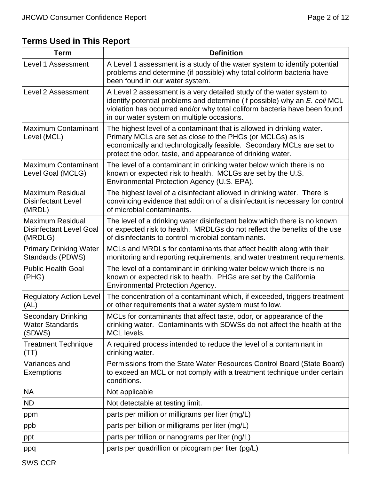# **Terms Used in This Report**

| <b>Term</b>                                                          | <b>Definition</b>                                                                                                                                                                                                                                                             |
|----------------------------------------------------------------------|-------------------------------------------------------------------------------------------------------------------------------------------------------------------------------------------------------------------------------------------------------------------------------|
| Level 1 Assessment                                                   | A Level 1 assessment is a study of the water system to identify potential<br>problems and determine (if possible) why total coliform bacteria have<br>been found in our water system.                                                                                         |
| Level 2 Assessment                                                   | A Level 2 assessment is a very detailed study of the water system to<br>identify potential problems and determine (if possible) why an E. coli MCL<br>violation has occurred and/or why total coliform bacteria have been found<br>in our water system on multiple occasions. |
| <b>Maximum Contaminant</b><br>Level (MCL)                            | The highest level of a contaminant that is allowed in drinking water.<br>Primary MCLs are set as close to the PHGs (or MCLGs) as is<br>economically and technologically feasible. Secondary MCLs are set to<br>protect the odor, taste, and appearance of drinking water.     |
| <b>Maximum Contaminant</b><br>Level Goal (MCLG)                      | The level of a contaminant in drinking water below which there is no<br>known or expected risk to health. MCLGs are set by the U.S.<br>Environmental Protection Agency (U.S. EPA).                                                                                            |
| <b>Maximum Residual</b><br><b>Disinfectant Level</b><br>(MRDL)       | The highest level of a disinfectant allowed in drinking water. There is<br>convincing evidence that addition of a disinfectant is necessary for control<br>of microbial contaminants.                                                                                         |
| <b>Maximum Residual</b><br><b>Disinfectant Level Goal</b><br>(MRDLG) | The level of a drinking water disinfectant below which there is no known<br>or expected risk to health. MRDLGs do not reflect the benefits of the use<br>of disinfectants to control microbial contaminants.                                                                  |
| <b>Primary Drinking Water</b><br>Standards (PDWS)                    | MCLs and MRDLs for contaminants that affect health along with their<br>monitoring and reporting requirements, and water treatment requirements.                                                                                                                               |
| <b>Public Health Goal</b><br>(PHG)                                   | The level of a contaminant in drinking water below which there is no<br>known or expected risk to health. PHGs are set by the California<br><b>Environmental Protection Agency.</b>                                                                                           |
| <b>Regulatory Action Level</b><br>(AL)                               | The concentration of a contaminant which, if exceeded, triggers treatment<br>or other requirements that a water system must follow.                                                                                                                                           |
| <b>Secondary Drinking</b><br><b>Water Standards</b><br>(SDWS)        | MCLs for contaminants that affect taste, odor, or appearance of the<br>drinking water. Contaminants with SDWSs do not affect the health at the<br>MCL levels.                                                                                                                 |
| <b>Treatment Technique</b><br>(TT)                                   | A required process intended to reduce the level of a contaminant in<br>drinking water.                                                                                                                                                                                        |
| Variances and<br>Exemptions                                          | Permissions from the State Water Resources Control Board (State Board)<br>to exceed an MCL or not comply with a treatment technique under certain<br>conditions.                                                                                                              |
| <b>NA</b>                                                            | Not applicable                                                                                                                                                                                                                                                                |
| <b>ND</b>                                                            | Not detectable at testing limit.                                                                                                                                                                                                                                              |
| ppm                                                                  | parts per million or milligrams per liter (mg/L)                                                                                                                                                                                                                              |
| ppb                                                                  | parts per billion or milligrams per liter (mg/L)                                                                                                                                                                                                                              |
| ppt                                                                  | parts per trillion or nanograms per liter (ng/L)                                                                                                                                                                                                                              |
| ppq                                                                  | parts per quadrillion or picogram per liter (pg/L)                                                                                                                                                                                                                            |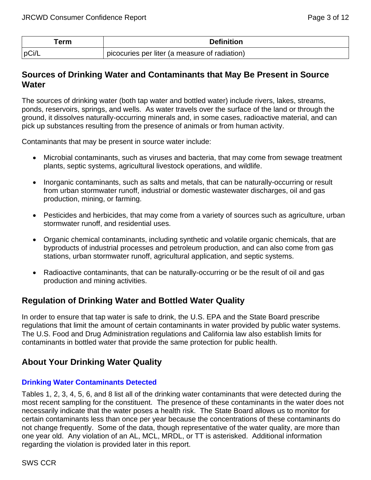| ⊺erm  | <b>Definition</b>                             |
|-------|-----------------------------------------------|
| pCi/L | picocuries per liter (a measure of radiation) |

### **Sources of Drinking Water and Contaminants that May Be Present in Source Water**

The sources of drinking water (both tap water and bottled water) include rivers, lakes, streams, ponds, reservoirs, springs, and wells. As water travels over the surface of the land or through the ground, it dissolves naturally-occurring minerals and, in some cases, radioactive material, and can pick up substances resulting from the presence of animals or from human activity.

Contaminants that may be present in source water include:

- Microbial contaminants, such as viruses and bacteria, that may come from sewage treatment plants, septic systems, agricultural livestock operations, and wildlife.
- Inorganic contaminants, such as salts and metals, that can be naturally-occurring or result from urban stormwater runoff, industrial or domestic wastewater discharges, oil and gas production, mining, or farming.
- Pesticides and herbicides, that may come from a variety of sources such as agriculture, urban stormwater runoff, and residential uses.
- Organic chemical contaminants, including synthetic and volatile organic chemicals, that are byproducts of industrial processes and petroleum production, and can also come from gas stations, urban stormwater runoff, agricultural application, and septic systems.
- Radioactive contaminants, that can be naturally-occurring or be the result of oil and gas production and mining activities.

### **Regulation of Drinking Water and Bottled Water Quality**

In order to ensure that tap water is safe to drink, the U.S. EPA and the State Board prescribe regulations that limit the amount of certain contaminants in water provided by public water systems. The U.S. Food and Drug Administration regulations and California law also establish limits for contaminants in bottled water that provide the same protection for public health.

### **About Your Drinking Water Quality**

### **Drinking Water Contaminants Detected**

Tables 1, 2, 3, 4, 5, 6, and 8 list all of the drinking water contaminants that were detected during the most recent sampling for the constituent. The presence of these contaminants in the water does not necessarily indicate that the water poses a health risk. The State Board allows us to monitor for certain contaminants less than once per year because the concentrations of these contaminants do not change frequently. Some of the data, though representative of the water quality, are more than one year old. Any violation of an AL, MCL, MRDL, or TT is asterisked. Additional information regarding the violation is provided later in this report.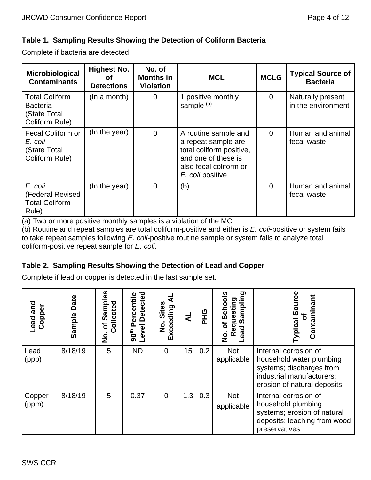### **Table 1. Sampling Results Showing the Detection of Coliform Bacteria**

Complete if bacteria are detected.

| Microbiological<br><b>Contaminants</b>                                     | Highest No.<br>οf<br><b>Detections</b> | No. of<br><b>Months in</b><br><b>Violation</b> | <b>MCL</b>                                                                                                                                   | <b>MCLG</b>    | <b>Typical Source of</b><br><b>Bacteria</b> |
|----------------------------------------------------------------------------|----------------------------------------|------------------------------------------------|----------------------------------------------------------------------------------------------------------------------------------------------|----------------|---------------------------------------------|
| <b>Total Coliform</b><br><b>Bacteria</b><br>(State Total<br>Coliform Rule) | (In a month)                           | $\Omega$                                       | 1 positive monthly<br>sample <sup>(a)</sup>                                                                                                  | $\overline{0}$ | Naturally present<br>in the environment     |
| Fecal Coliform or<br>E. coli<br>(State Total<br>Coliform Rule)             | (In the year)                          | $\overline{0}$                                 | A routine sample and<br>a repeat sample are<br>total coliform positive,<br>and one of these is<br>also fecal coliform or<br>E. coli positive | $\overline{0}$ | Human and animal<br>fecal waste             |
| E. coli<br>(Federal Revised<br><b>Total Coliform</b><br>Rule)              | (In the year)                          | $\overline{0}$                                 | (b)                                                                                                                                          | $\Omega$       | Human and animal<br>fecal waste             |

(a) Two or more positive monthly samples is a violation of the MCL

(b) Routine and repeat samples are total coliform-positive and either is *E. coli*-positive or system fails to take repeat samples following *E. coli*-positive routine sample or system fails to analyze total coliform-positive repeat sample for *E. coli*.

### **Table 2. Sampling Results Showing the Detection of Lead and Copper**

Complete if lead or copper is detected in the last sample set.

| and<br>Copper<br>Lead | Date<br>Sample | ဖို့<br>Sampl<br>Collected<br>৳<br>。<br>2 | <b>Detected</b><br>ercentil<br>Level<br>90 <sup>th</sup> | <b>Sites</b><br>Exceeding<br>$\dot{\mathbf{z}}$ | ₹   | <b>PHG</b> | ರಾ<br>Schools<br>Requesting<br>ead Sampling<br>$\overline{\sigma}$<br>ead<br>o<br>Z | ഭ<br><b>ypical Sor</b><br>ntamir<br>ั้อ                                                                                                   |
|-----------------------|----------------|-------------------------------------------|----------------------------------------------------------|-------------------------------------------------|-----|------------|-------------------------------------------------------------------------------------|-------------------------------------------------------------------------------------------------------------------------------------------|
| Lead<br>(ppb)         | 8/18/19        | 5                                         | <b>ND</b>                                                | $\overline{0}$                                  | 15  | 0.2        | <b>Not</b><br>applicable                                                            | Internal corrosion of<br>household water plumbing<br>systems; discharges from<br>industrial manufacturers;<br>erosion of natural deposits |
| Copper<br>(ppm)       | 8/18/19        | 5                                         | 0.37                                                     | $\overline{0}$                                  | 1.3 | 0.3        | <b>Not</b><br>applicable                                                            | Internal corrosion of<br>household plumbing<br>systems; erosion of natural<br>deposits; leaching from wood<br>preservatives               |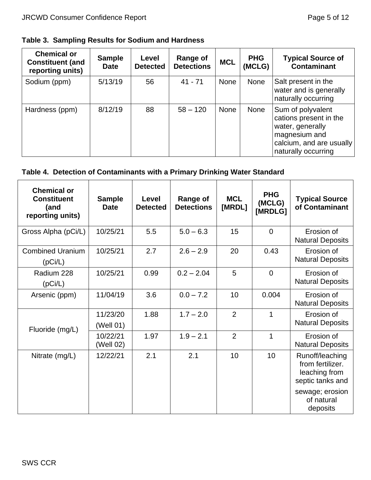### **Table 3. Sampling Results for Sodium and Hardness**

| <b>Chemical or</b><br><b>Constituent (and</b><br>reporting units) | <b>Sample</b><br><b>Date</b> | Level<br><b>Detected</b> | <b>Range of</b><br><b>Detections</b> | <b>MCL</b>  | <b>PHG</b><br>(MCLG) | <b>Typical Source of</b><br><b>Contaminant</b>                                                                                      |
|-------------------------------------------------------------------|------------------------------|--------------------------|--------------------------------------|-------------|----------------------|-------------------------------------------------------------------------------------------------------------------------------------|
| Sodium (ppm)                                                      | 5/13/19                      | 56                       | $41 - 71$                            | <b>None</b> | None                 | Salt present in the<br>water and is generally<br>naturally occurring                                                                |
| Hardness (ppm)                                                    | 8/12/19                      | 88                       | $58 - 120$                           | <b>None</b> | None                 | Sum of polyvalent<br>cations present in the<br>water, generally<br>magnesium and<br>calcium, and are usually<br>naturally occurring |

# **Table 4. Detection of Contaminants with a Primary Drinking Water Standard**

| <b>Chemical or</b><br><b>Constituent</b><br>(and<br>reporting units) | <b>Sample</b><br><b>Date</b> | Level<br><b>Detected</b> | <b>Range of</b><br><b>Detections</b> | <b>MCL</b><br>[MRDL] | <b>PHG</b><br>(MCLG)<br>[MRDLG] | <b>Typical Source</b><br>of Contaminant                                  |
|----------------------------------------------------------------------|------------------------------|--------------------------|--------------------------------------|----------------------|---------------------------------|--------------------------------------------------------------------------|
| Gross Alpha (pCi/L)                                                  | 10/25/21                     | 5.5                      | $5.0 - 6.3$                          | 15                   | $\Omega$                        | Erosion of<br><b>Natural Deposits</b>                                    |
| <b>Combined Uranium</b><br>(pCi/L)                                   | 10/25/21                     | 2.7                      | $2.6 - 2.9$                          | 20                   | 0.43                            | Erosion of<br><b>Natural Deposits</b>                                    |
| Radium 228<br>(pCi/L)                                                | 10/25/21                     | 0.99                     | $0.2 - 2.04$                         | 5                    | $\overline{0}$                  | Erosion of<br><b>Natural Deposits</b>                                    |
| Arsenic (ppm)                                                        | 11/04/19                     | 3.6                      | $0.0 - 7.2$                          | 10                   | 0.004                           | Erosion of<br><b>Natural Deposits</b>                                    |
| Fluoride (mg/L)                                                      | 11/23/20<br>(Well 01)        | 1.88                     | $1.7 - 2.0$                          | $\overline{2}$       | 1                               | Erosion of<br><b>Natural Deposits</b>                                    |
|                                                                      | 10/22/21<br>(Well 02)        | 1.97                     | $1.9 - 2.1$                          | $\overline{2}$       | 1                               | Erosion of<br><b>Natural Deposits</b>                                    |
| Nitrate (mg/L)                                                       | 12/22/21                     | 2.1                      | 2.1                                  | 10                   | 10                              | Runoff/leaching<br>from fertilizer.<br>leaching from<br>septic tanks and |
|                                                                      |                              |                          |                                      |                      |                                 | sewage; erosion<br>of natural<br>deposits                                |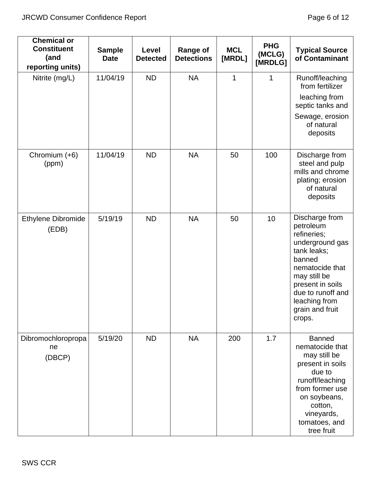| <b>Chemical or</b><br><b>Constituent</b><br>(and<br>reporting units) | <b>Sample</b><br><b>Date</b> | Level<br><b>Detected</b> | <b>Range of</b><br><b>Detections</b> | <b>MCL</b><br>[MRDL] | <b>PHG</b><br>(MCLG)<br>[MRDLG] | <b>Typical Source</b><br>of Contaminant                                                                                                                                                                          |
|----------------------------------------------------------------------|------------------------------|--------------------------|--------------------------------------|----------------------|---------------------------------|------------------------------------------------------------------------------------------------------------------------------------------------------------------------------------------------------------------|
| Nitrite (mg/L)                                                       | 11/04/19                     | <b>ND</b>                | <b>NA</b>                            | $\mathbf 1$          | 1                               | Runoff/leaching<br>from fertilizer<br>leaching from<br>septic tanks and<br>Sewage, erosion<br>of natural<br>deposits                                                                                             |
| Chromium (+6)<br>(ppm)                                               | 11/04/19                     | <b>ND</b>                | <b>NA</b>                            | 50                   | 100                             | Discharge from<br>steel and pulp<br>mills and chrome<br>plating; erosion<br>of natural<br>deposits                                                                                                               |
| <b>Ethylene Dibromide</b><br>(EDB)                                   | 5/19/19                      | <b>ND</b>                | <b>NA</b>                            | 50                   | 10                              | Discharge from<br>petroleum<br>refineries;<br>underground gas<br>tank leaks;<br>banned<br>nematocide that<br>may still be<br>present in soils<br>due to runoff and<br>leaching from<br>grain and fruit<br>crops. |
| Dibromochloropropa<br>ne<br>(DBCP)                                   | 5/19/20                      | <b>ND</b>                | <b>NA</b>                            | 200                  | 1.7                             | <b>Banned</b><br>nematocide that<br>may still be<br>present in soils<br>due to<br>runoff/leaching<br>from former use<br>on soybeans,<br>cotton,<br>vineyards,<br>tomatoes, and<br>tree fruit                     |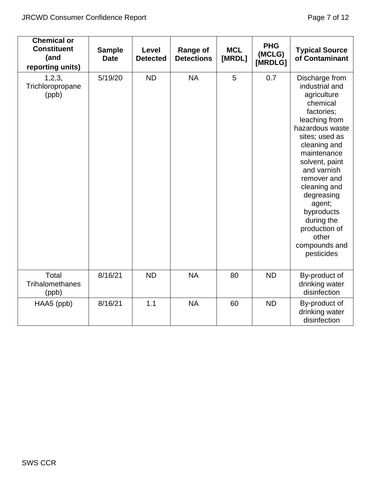| <b>Chemical or</b><br><b>Constituent</b><br>(and<br>reporting units) | <b>Sample</b><br><b>Date</b> | Level<br><b>Detected</b> | <b>Range of</b><br><b>Detections</b> | <b>MCL</b><br>[MRDL] | <b>PHG</b><br>(MCLG)<br>[MRDLG] | <b>Typical Source</b><br>of Contaminant                                                                                                                                                                                                                                                                                                     |
|----------------------------------------------------------------------|------------------------------|--------------------------|--------------------------------------|----------------------|---------------------------------|---------------------------------------------------------------------------------------------------------------------------------------------------------------------------------------------------------------------------------------------------------------------------------------------------------------------------------------------|
| 1, 2, 3,<br>Trichloropropane<br>(ppb)                                | 5/19/20                      | <b>ND</b>                | <b>NA</b>                            | 5                    | 0.7                             | Discharge from<br>industrial and<br>agriculture<br>chemical<br>factories;<br>leaching from<br>hazardous waste<br>sites; used as<br>cleaning and<br>maintenance<br>solvent, paint<br>and varnish<br>remover and<br>cleaning and<br>degreasing<br>agent;<br>byproducts<br>during the<br>production of<br>other<br>compounds and<br>pesticides |
| Total<br><b>Trihalomethanes</b><br>(ppb)                             | 8/16/21                      | <b>ND</b>                | <b>NA</b>                            | 80                   | <b>ND</b>                       | By-product of<br>drinking water<br>disinfection                                                                                                                                                                                                                                                                                             |
| HAA5 (ppb)                                                           | 8/16/21                      | 1.1                      | <b>NA</b>                            | 60                   | <b>ND</b>                       | By-product of<br>drinking water<br>disinfection                                                                                                                                                                                                                                                                                             |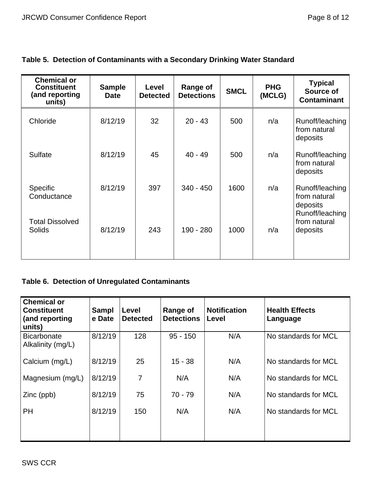| <b>Chemical or</b><br><b>Constituent</b><br>(and reporting<br>units) | <b>Sample</b><br><b>Date</b> | Level<br><b>Detected</b> | Range of<br><b>Detections</b> | <b>SMCL</b> | <b>PHG</b><br>(MCLG) | <b>Typical</b><br>Source of<br><b>Contaminant</b>              |
|----------------------------------------------------------------------|------------------------------|--------------------------|-------------------------------|-------------|----------------------|----------------------------------------------------------------|
| Chloride                                                             | 8/12/19                      | 32                       | $20 - 43$                     | 500         | n/a                  | Runoff/leaching<br>from natural<br>deposits                    |
| <b>Sulfate</b>                                                       | 8/12/19                      | 45                       | $40 - 49$                     | 500         | n/a                  | Runoff/leaching<br>from natural<br>deposits                    |
| <b>Specific</b><br>Conductance                                       | 8/12/19                      | 397                      | $340 - 450$                   | 1600        | n/a                  | Runoff/leaching<br>from natural<br>deposits<br>Runoff/leaching |
| <b>Total Dissolved</b><br><b>Solids</b>                              | 8/12/19                      | 243                      | 190 - 280                     | 1000        | n/a                  | from natural<br>deposits                                       |

# **Table 5. Detection of Contaminants with a Secondary Drinking Water Standard**

# **Table 6. Detection of Unregulated Contaminants**

| <b>Chemical or</b><br><b>Constituent</b><br>(and reporting<br>units) | <b>Sampl</b><br>e Date | Level<br><b>Detected</b> | Range of<br><b>Detections</b> | <b>Notification</b><br>Level | <b>Health Effects</b><br>Language |
|----------------------------------------------------------------------|------------------------|--------------------------|-------------------------------|------------------------------|-----------------------------------|
| <b>Bicarbonate</b><br>Alkalinity (mg/L)                              | 8/12/19                | 128                      | $95 - 150$                    | N/A                          | No standards for MCL              |
| Calcium (mg/L)                                                       | 8/12/19                | 25                       | $15 - 38$                     | N/A                          | No standards for MCL              |
| Magnesium (mg/L)                                                     | 8/12/19                | 7                        | N/A                           | N/A                          | No standards for MCL              |
| Zinc (ppb)                                                           | 8/12/19                | 75                       | $70 - 79$                     | N/A                          | No standards for MCL              |
| <b>PH</b>                                                            | 8/12/19                | 150                      | N/A                           | N/A                          | No standards for MCL              |
|                                                                      |                        |                          |                               |                              |                                   |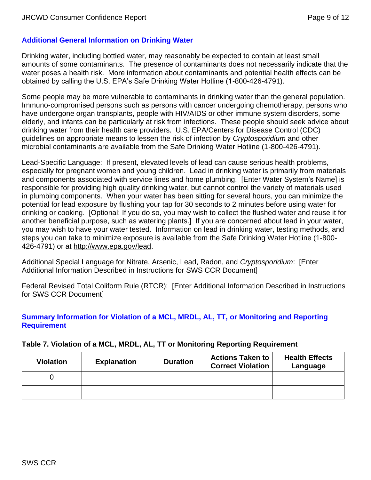### **Additional General Information on Drinking Water**

Drinking water, including bottled water, may reasonably be expected to contain at least small amounts of some contaminants. The presence of contaminants does not necessarily indicate that the water poses a health risk. More information about contaminants and potential health effects can be obtained by calling the U.S. EPA's Safe Drinking Water Hotline (1-800-426-4791).

Some people may be more vulnerable to contaminants in drinking water than the general population. Immuno-compromised persons such as persons with cancer undergoing chemotherapy, persons who have undergone organ transplants, people with HIV/AIDS or other immune system disorders, some elderly, and infants can be particularly at risk from infections. These people should seek advice about drinking water from their health care providers. U.S. EPA/Centers for Disease Control (CDC) guidelines on appropriate means to lessen the risk of infection by *Cryptosporidium* and other microbial contaminants are available from the Safe Drinking Water Hotline (1-800-426-4791).

Lead-Specific Language: If present, elevated levels of lead can cause serious health problems, especially for pregnant women and young children. Lead in drinking water is primarily from materials and components associated with service lines and home plumbing. [Enter Water System's Name] is responsible for providing high quality drinking water, but cannot control the variety of materials used in plumbing components. When your water has been sitting for several hours, you can minimize the potential for lead exposure by flushing your tap for 30 seconds to 2 minutes before using water for drinking or cooking. [Optional: If you do so, you may wish to collect the flushed water and reuse it for another beneficial purpose, such as watering plants.] If you are concerned about lead in your water, you may wish to have your water tested. Information on lead in drinking water, testing methods, and steps you can take to minimize exposure is available from the Safe Drinking Water Hotline (1-800- 426-4791) or at [http://www.epa.gov/lead.](http://www.epa.gov/lead)

Additional Special Language for Nitrate, Arsenic, Lead, Radon, and *Cryptosporidium*: [Enter Additional Information Described in Instructions for SWS CCR Document]

Federal Revised Total Coliform Rule (RTCR): [Enter Additional Information Described in Instructions for SWS CCR Document]

#### **Summary Information for Violation of a MCL, MRDL, AL, TT, or Monitoring and Reporting Requirement**

#### **Table 7. Violation of a MCL, MRDL, AL, TT or Monitoring Reporting Requirement**

| <b>Violation</b> | <b>Explanation</b> | <b>Duration</b> | <b>Actions Taken to</b><br><b>Correct Violation</b> | <b>Health Effects</b><br>Language |
|------------------|--------------------|-----------------|-----------------------------------------------------|-----------------------------------|
|                  |                    |                 |                                                     |                                   |
|                  |                    |                 |                                                     |                                   |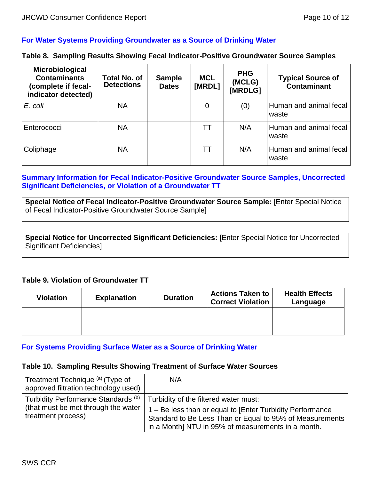#### **For Water Systems Providing Groundwater as a Source of Drinking Water**

#### **Table 8. Sampling Results Showing Fecal Indicator-Positive Groundwater Source Samples**

| Microbiological<br><b>Contaminants</b><br>(complete if fecal-<br>indicator detected) | Total No. of<br><b>Detections</b> | <b>Sample</b><br><b>Dates</b> | <b>MCL</b><br>[MRDL] | <b>PHG</b><br>(MCLG)<br>[MRDLG] | <b>Typical Source of</b><br><b>Contaminant</b> |
|--------------------------------------------------------------------------------------|-----------------------------------|-------------------------------|----------------------|---------------------------------|------------------------------------------------|
| E. coli                                                                              | <b>NA</b>                         |                               | 0                    | (0)                             | Human and animal fecal<br>waste                |
| Enterococci                                                                          | <b>NA</b>                         |                               | TТ                   | N/A                             | Human and animal fecal<br>waste                |
| Coliphage                                                                            | <b>NA</b>                         |                               | TТ                   | N/A                             | Human and animal fecal<br>waste                |

#### **Summary Information for Fecal Indicator-Positive Groundwater Source Samples, Uncorrected Significant Deficiencies, or Violation of a Groundwater TT**

**Special Notice of Fecal Indicator-Positive Groundwater Source Sample:** [Enter Special Notice of Fecal Indicator-Positive Groundwater Source Sample]

**Special Notice for Uncorrected Significant Deficiencies:** [Enter Special Notice for Uncorrected Significant Deficiencies]

#### **Table 9. Violation of Groundwater TT**

| <b>Violation</b> | <b>Explanation</b> | <b>Duration</b> | <b>Actions Taken to</b><br><b>Correct Violation</b> | <b>Health Effects</b><br>Language |
|------------------|--------------------|-----------------|-----------------------------------------------------|-----------------------------------|
|                  |                    |                 |                                                     |                                   |
|                  |                    |                 |                                                     |                                   |

#### **For Systems Providing Surface Water as a Source of Drinking Water**

#### **Table 10. Sampling Results Showing Treatment of Surface Water Sources**

| Treatment Technique (a) (Type of<br>approved filtration technology used)                         | N/A                                                                                                                                                                                                                  |
|--------------------------------------------------------------------------------------------------|----------------------------------------------------------------------------------------------------------------------------------------------------------------------------------------------------------------------|
| Turbidity Performance Standards (b)<br>(that must be met through the water<br>treatment process) | Turbidity of the filtered water must:<br>1 – Be less than or equal to [Enter Turbidity Performance<br>Standard to Be Less Than or Equal to 95% of Measurements<br>in a Month] NTU in 95% of measurements in a month. |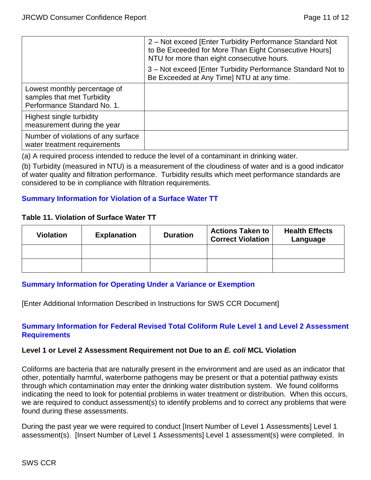|                                                                                           | 2 – Not exceed [Enter Turbidity Performance Standard Not<br>to Be Exceeded for More Than Eight Consecutive Hours]<br>NTU for more than eight consecutive hours. |
|-------------------------------------------------------------------------------------------|-----------------------------------------------------------------------------------------------------------------------------------------------------------------|
|                                                                                           | 3 - Not exceed [Enter Turbidity Performance Standard Not to<br>Be Exceeded at Any Time] NTU at any time.                                                        |
| Lowest monthly percentage of<br>samples that met Turbidity<br>Performance Standard No. 1. |                                                                                                                                                                 |
| Highest single turbidity<br>measurement during the year                                   |                                                                                                                                                                 |
| Number of violations of any surface<br>water treatment requirements                       |                                                                                                                                                                 |

(a) A required process intended to reduce the level of a contaminant in drinking water.

(b) Turbidity (measured in NTU) is a measurement of the cloudiness of water and is a good indicator of water quality and filtration performance. Turbidity results which meet performance standards are considered to be in compliance with filtration requirements.

#### **Summary Information for Violation of a Surface Water TT**

#### **Table 11. Violation of Surface Water TT**

| <b>Violation</b> | <b>Explanation</b> | <b>Duration</b> | <b>Actions Taken to</b><br><b>Correct Violation</b> | <b>Health Effects</b><br>Language |
|------------------|--------------------|-----------------|-----------------------------------------------------|-----------------------------------|
|                  |                    |                 |                                                     |                                   |
|                  |                    |                 |                                                     |                                   |

### **Summary Information for Operating Under a Variance or Exemption**

[Enter Additional Information Described in Instructions for SWS CCR Document]

#### **Summary Information for Federal Revised Total Coliform Rule Level 1 and Level 2 Assessment Requirements**

#### **Level 1 or Level 2 Assessment Requirement not Due to an** *E. coli* **MCL Violation**

Coliforms are bacteria that are naturally present in the environment and are used as an indicator that other, potentially harmful, waterborne pathogens may be present or that a potential pathway exists through which contamination may enter the drinking water distribution system. We found coliforms indicating the need to look for potential problems in water treatment or distribution. When this occurs, we are required to conduct assessment(s) to identify problems and to correct any problems that were found during these assessments.

During the past year we were required to conduct [Insert Number of Level 1 Assessments] Level 1 assessment(s). [Insert Number of Level 1 Assessments] Level 1 assessment(s) were completed. In